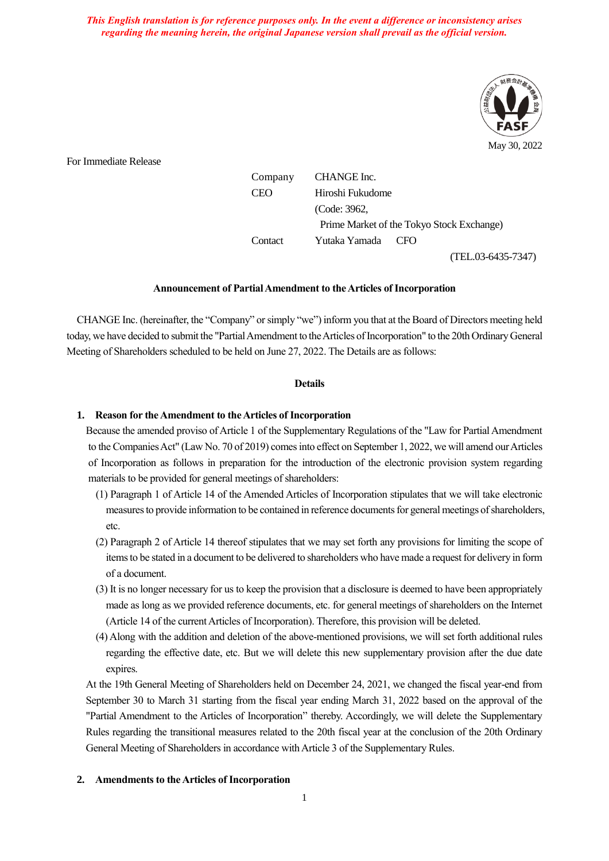*This English translation is for reference purposes only. In the event a difference or inconsistency arises regarding the meaning herein, the original Japanese version shall prevail as the official version.*



For Immediate Release

Company CHANGE Inc.

CEO Hiroshi Fukudome (Code: 3962, Prime Market of the Tokyo Stock Exchange) Contact Yutaka Yamada CFO

(TEL.03-6435-7347)

#### **Announcement of Partial Amendment to the Articles of Incorporation**

CHANGE Inc. (hereinafter, the "Company" or simply "we") inform you that at the Board of Directors meeting held today, we have decided to submit the "Partial Amendment to the Articles of Incorporation" to the 20th Ordinary General Meeting of Shareholders scheduled to be held on June 27, 2022. The Details are as follows:

#### **Details**

## **1. Reason for the Amendment to the Articles of Incorporation**

Because the amended proviso of Article 1 of the Supplementary Regulations of the "Law for Partial Amendment to the Companies Act" (Law No. 70 of 2019) comes into effect on September 1, 2022, we will amend our Articles of Incorporation as follows in preparation for the introduction of the electronic provision system regarding materials to be provided for general meetings of shareholders:

- (1) Paragraph 1 of Article 14 of the Amended Articles of Incorporation stipulates that we will take electronic measures to provide information to be contained in reference documents for general meetings of shareholders, etc.
- (2) Paragraph 2 of Article 14 thereof stipulates that we may set forth any provisions for limiting the scope of items to be stated in a document to be delivered to shareholders who have made a request for delivery in form of a document.
- (3) It is no longer necessary for us to keep the provision that a disclosure is deemed to have been appropriately made as long as we provided reference documents, etc. for general meetings of shareholders on the Internet (Article 14 of the current Articles of Incorporation). Therefore, this provision will be deleted.
- (4) Along with the addition and deletion of the above-mentioned provisions, we will set forth additional rules regarding the effective date, etc. But we will delete this new supplementary provision after the due date expires.

At the 19th General Meeting of Shareholders held on December 24, 2021, we changed the fiscal year-end from September 30 to March 31 starting from the fiscal year ending March 31, 2022 based on the approval of the "Partial Amendment to the Articles of Incorporation" thereby. Accordingly, we will delete the Supplementary Rules regarding the transitional measures related to the 20th fiscal year at the conclusion of the 20th Ordinary General Meeting of Shareholders in accordance with Article 3 of the Supplementary Rules.

### **2. Amendments to the Articles of Incorporation**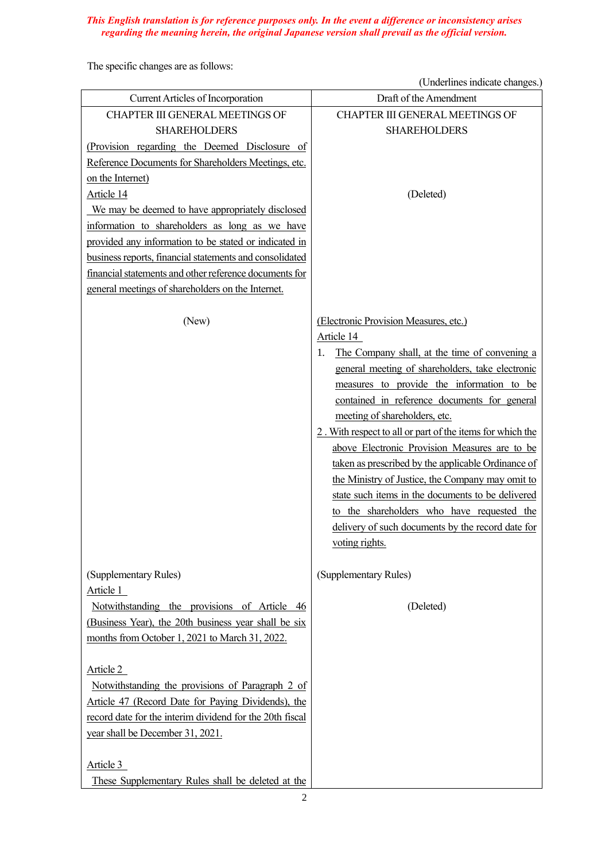## *This English translation is for reference purposes only. In the event a difference or inconsistency arises regarding the meaning herein, the original Japanese version shall prevail as the official version.*

The specific changes are as follows:

(Underlines indicate changes.)

| <b>Current Articles of Incorporation</b>                                                                                                                                                                                                                                              | Draft of the Amendment                                                                                                                                                                                                                                                                                                                                                                                                                                                                                                                                                                                                                                                                         |
|---------------------------------------------------------------------------------------------------------------------------------------------------------------------------------------------------------------------------------------------------------------------------------------|------------------------------------------------------------------------------------------------------------------------------------------------------------------------------------------------------------------------------------------------------------------------------------------------------------------------------------------------------------------------------------------------------------------------------------------------------------------------------------------------------------------------------------------------------------------------------------------------------------------------------------------------------------------------------------------------|
| CHAPTER III GENERAL MEETINGS OF                                                                                                                                                                                                                                                       | CHAPTER III GENERAL MEETINGS OF                                                                                                                                                                                                                                                                                                                                                                                                                                                                                                                                                                                                                                                                |
| <b>SHAREHOLDERS</b>                                                                                                                                                                                                                                                                   | <b>SHAREHOLDERS</b>                                                                                                                                                                                                                                                                                                                                                                                                                                                                                                                                                                                                                                                                            |
| (Provision regarding the Deemed Disclosure of                                                                                                                                                                                                                                         |                                                                                                                                                                                                                                                                                                                                                                                                                                                                                                                                                                                                                                                                                                |
| Reference Documents for Shareholders Meetings, etc.                                                                                                                                                                                                                                   |                                                                                                                                                                                                                                                                                                                                                                                                                                                                                                                                                                                                                                                                                                |
| on the Internet)                                                                                                                                                                                                                                                                      |                                                                                                                                                                                                                                                                                                                                                                                                                                                                                                                                                                                                                                                                                                |
| Article 14                                                                                                                                                                                                                                                                            | (Deleted)                                                                                                                                                                                                                                                                                                                                                                                                                                                                                                                                                                                                                                                                                      |
| We may be deemed to have appropriately disclosed                                                                                                                                                                                                                                      |                                                                                                                                                                                                                                                                                                                                                                                                                                                                                                                                                                                                                                                                                                |
| information to shareholders as long as we have                                                                                                                                                                                                                                        |                                                                                                                                                                                                                                                                                                                                                                                                                                                                                                                                                                                                                                                                                                |
| provided any information to be stated or indicated in                                                                                                                                                                                                                                 |                                                                                                                                                                                                                                                                                                                                                                                                                                                                                                                                                                                                                                                                                                |
| business reports, financial statements and consolidated                                                                                                                                                                                                                               |                                                                                                                                                                                                                                                                                                                                                                                                                                                                                                                                                                                                                                                                                                |
| financial statements and other reference documents for                                                                                                                                                                                                                                |                                                                                                                                                                                                                                                                                                                                                                                                                                                                                                                                                                                                                                                                                                |
| general meetings of shareholders on the Internet.                                                                                                                                                                                                                                     |                                                                                                                                                                                                                                                                                                                                                                                                                                                                                                                                                                                                                                                                                                |
| (New)                                                                                                                                                                                                                                                                                 | (Electronic Provision Measures, etc.)<br>Article 14<br>The Company shall, at the time of convening a<br>1.<br>general meeting of shareholders, take electronic<br>measures to provide the information to be<br>contained in reference documents for general<br>meeting of shareholders, etc.<br>2. With respect to all or part of the items for which the<br>above Electronic Provision Measures are to be<br>taken as prescribed by the applicable Ordinance of<br>the Ministry of Justice, the Company may omit to<br>state such items in the documents to be delivered<br>to the shareholders who have requested the<br>delivery of such documents by the record date for<br>voting rights. |
| (Supplementary Rules)                                                                                                                                                                                                                                                                 | (Supplementary Rules)                                                                                                                                                                                                                                                                                                                                                                                                                                                                                                                                                                                                                                                                          |
| Article 1<br>Notwithstanding the provisions of Article 46<br>(Business Year), the 20th business year shall be six<br>months from October 1, 2021 to March 31, 2022.                                                                                                                   | (Deleted)                                                                                                                                                                                                                                                                                                                                                                                                                                                                                                                                                                                                                                                                                      |
| Article 2<br>Notwithstanding the provisions of Paragraph 2 of<br>Article 47 (Record Date for Paying Dividends), the<br>record date for the interim dividend for the 20th fiscal<br>year shall be December 31, 2021.<br>Article 3<br>These Supplementary Rules shall be deleted at the |                                                                                                                                                                                                                                                                                                                                                                                                                                                                                                                                                                                                                                                                                                |